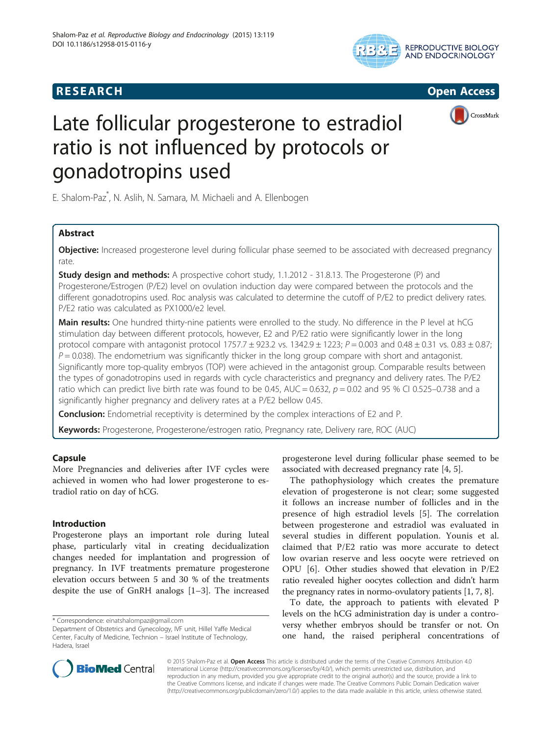







# Late follicular progesterone to estradiol ratio is not influenced by protocols or gonadotropins used

E. Shalom-Paz\* , N. Aslih, N. Samara, M. Michaeli and A. Ellenbogen

# Abstract

Objective: Increased progesterone level during follicular phase seemed to be associated with decreased pregnancy rate.

**Study design and methods:** A prospective cohort study, 1.1.2012 - 31.8.13. The Progesterone (P) and Progesterone/Estrogen (P/E2) level on ovulation induction day were compared between the protocols and the different gonadotropins used. Roc analysis was calculated to determine the cutoff of P/E2 to predict delivery rates. P/E2 ratio was calculated as PX1000/e2 level.

Main results: One hundred thirty-nine patients were enrolled to the study. No difference in the P level at hCG stimulation day between different protocols, however, E2 and P/E2 ratio were significantly lower in the long protocol compare with antagonist protocol 1757.7  $\pm$  923.2 vs. 1342.9  $\pm$  1223; P = 0.003 and 0.48  $\pm$  0.31 vs. 0.83  $\pm$  0.87;  $P = 0.038$ ). The endometrium was significantly thicker in the long group compare with short and antagonist. Significantly more top-quality embryos (TOP) were achieved in the antagonist group. Comparable results between the types of gonadotropins used in regards with cycle characteristics and pregnancy and delivery rates. The P/E2 ratio which can predict live birth rate was found to be 0.45, AUC = 0.632,  $p = 0.02$  and 95 % CI 0.525–0.738 and a significantly higher pregnancy and delivery rates at a P/E2 bellow 0.45.

**Conclusion:** Endometrial receptivity is determined by the complex interactions of E2 and P.

Keywords: Progesterone, Progesterone/estrogen ratio, Pregnancy rate, Delivery rare, ROC (AUC)

# Capsule

More Pregnancies and deliveries after IVF cycles were achieved in women who had lower progesterone to estradiol ratio on day of hCG.

# Introduction

Progesterone plays an important role during luteal phase, particularly vital in creating decidualization changes needed for implantation and progression of pregnancy. In IVF treatments premature progesterone elevation occurs between 5 and 30 % of the treatments despite the use of GnRH analogs [\[1](#page-5-0)–[3\]](#page-5-0). The increased

\* Correspondence: [einatshalompaz@gmail.com](mailto:einatshalompaz@gmail.com)

progesterone level during follicular phase seemed to be associated with decreased pregnancy rate [[4](#page-5-0), [5](#page-5-0)].

The pathophysiology which creates the premature elevation of progesterone is not clear; some suggested it follows an increase number of follicles and in the presence of high estradiol levels [[5\]](#page-5-0). The correlation between progesterone and estradiol was evaluated in several studies in different population. Younis et al. claimed that P/E2 ratio was more accurate to detect low ovarian reserve and less oocyte were retrieved on OPU [\[6](#page-5-0)]. Other studies showed that elevation in P/E2 ratio revealed higher oocytes collection and didn't harm the pregnancy rates in normo-ovulatory patients [[1, 7](#page-5-0), [8\]](#page-5-0).

To date, the approach to patients with elevated P levels on the hCG administration day is under a controversy whether embryos should be transfer or not. On one hand, the raised peripheral concentrations of



© 2015 Shalom-Paz et al. Open Access This article is distributed under the terms of the Creative Commons Attribution 4.0 International License [\(http://creativecommons.org/licenses/by/4.0/](http://creativecommons.org/licenses/by/4.0/)), which permits unrestricted use, distribution, and reproduction in any medium, provided you give appropriate credit to the original author(s) and the source, provide a link to the Creative Commons license, and indicate if changes were made. The Creative Commons Public Domain Dedication waiver [\(http://creativecommons.org/publicdomain/zero/1.0/](http://creativecommons.org/publicdomain/zero/1.0/)) applies to the data made available in this article, unless otherwise stated.

Department of Obstetrics and Gynecology, IVF unit, Hillel Yaffe Medical Center, Faculty of Medicine, Technion – Israel Institute of Technology, Hadera, Israel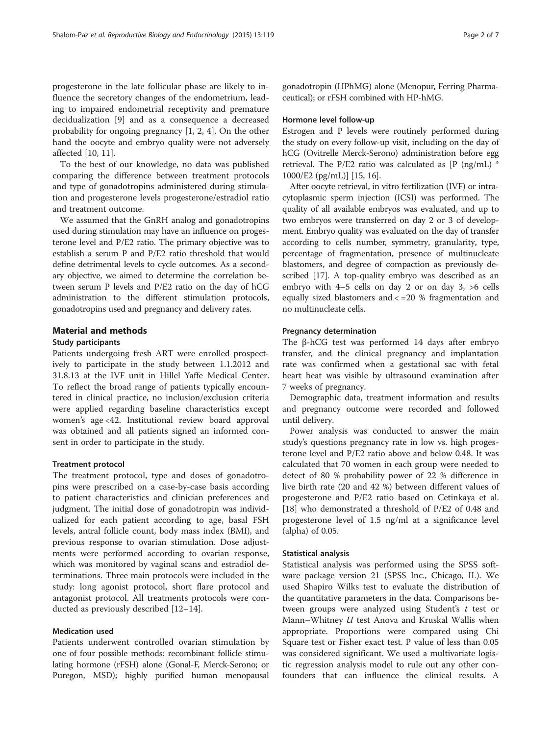progesterone in the late follicular phase are likely to influence the secretory changes of the endometrium, leading to impaired endometrial receptivity and premature decidualization [[9\]](#page-5-0) and as a consequence a decreased probability for ongoing pregnancy [[1, 2, 4](#page-5-0)]. On the other hand the oocyte and embryo quality were not adversely affected [[10](#page-5-0), [11](#page-5-0)].

To the best of our knowledge, no data was published comparing the difference between treatment protocols and type of gonadotropins administered during stimulation and progesterone levels progesterone/estradiol ratio and treatment outcome.

We assumed that the GnRH analog and gonadotropins used during stimulation may have an influence on progesterone level and P/E2 ratio. The primary objective was to establish a serum P and P/E2 ratio threshold that would define detrimental levels to cycle outcomes. As a secondary objective, we aimed to determine the correlation between serum P levels and P/E2 ratio on the day of hCG administration to the different stimulation protocols, gonadotropins used and pregnancy and delivery rates.

## Material and methods

#### Study participants

Patients undergoing fresh ART were enrolled prospectively to participate in the study between 1.1.2012 and 31.8.13 at the IVF unit in Hillel Yaffe Medical Center. To reflect the broad range of patients typically encountered in clinical practice, no inclusion/exclusion criteria were applied regarding baseline characteristics except women's age <42. Institutional review board approval was obtained and all patients signed an informed consent in order to participate in the study.

#### Treatment protocol

The treatment protocol, type and doses of gonadotropins were prescribed on a case-by-case basis according to patient characteristics and clinician preferences and judgment. The initial dose of gonadotropin was individualized for each patient according to age, basal FSH levels, antral follicle count, body mass index (BMI), and previous response to ovarian stimulation. Dose adjustments were performed according to ovarian response, which was monitored by vaginal scans and estradiol determinations. Three main protocols were included in the study: long agonist protocol, short flare protocol and antagonist protocol. All treatments protocols were conducted as previously described [[12](#page-5-0)–[14\]](#page-5-0).

## Medication used

Patients underwent controlled ovarian stimulation by one of four possible methods: recombinant follicle stimulating hormone (rFSH) alone (Gonal-F, Merck-Serono; or Puregon, MSD); highly purified human menopausal gonadotropin (HPhMG) alone (Menopur, Ferring Pharmaceutical); or rFSH combined with HP-hMG.

## Hormone level follow-up

Estrogen and P levels were routinely performed during the study on every follow-up visit, including on the day of hCG (Ovitrelle Merck-Serono) administration before egg retrieval. The P/E2 ratio was calculated as [P (ng/mL) \* 1000/E2 (pg/mL)] [\[15, 16](#page-5-0)].

After oocyte retrieval, in vitro fertilization (IVF) or intracytoplasmic sperm injection (ICSI) was performed. The quality of all available embryos was evaluated, and up to two embryos were transferred on day 2 or 3 of development. Embryo quality was evaluated on the day of transfer according to cells number, symmetry, granularity, type, percentage of fragmentation, presence of multinucleate blastomers, and degree of compaction as previously described [[17](#page-5-0)]. A top-quality embryo was described as an embryo with 4–5 cells on day 2 or on day 3, >6 cells equally sized blastomers and < =20 % fragmentation and no multinucleate cells.

#### Pregnancy determination

The β-hCG test was performed 14 days after embryo transfer, and the clinical pregnancy and implantation rate was confirmed when a gestational sac with fetal heart beat was visible by ultrasound examination after 7 weeks of pregnancy.

Demographic data, treatment information and results and pregnancy outcome were recorded and followed until delivery.

Power analysis was conducted to answer the main study's questions pregnancy rate in low vs. high progesterone level and P/E2 ratio above and below 0.48. It was calculated that 70 women in each group were needed to detect of 80 % probability power of 22 % difference in live birth rate (20 and 42 %) between different values of progesterone and P/E2 ratio based on Cetinkaya et al. [[18\]](#page-5-0) who demonstrated a threshold of P/E2 of 0.48 and progesterone level of 1.5 ng/ml at a significance level (alpha) of 0.05.

#### Statistical analysis

Statistical analysis was performed using the SPSS software package version 21 (SPSS Inc., Chicago, IL). We used Shapiro Wilks test to evaluate the distribution of the quantitative parameters in the data. Comparisons between groups were analyzed using Student's  $t$  test or Mann–Whitney  $U$  test Anova and Kruskal Wallis when appropriate. Proportions were compared using Chi Square test or Fisher exact test. P value of less than 0.05 was considered significant. We used a multivariate logistic regression analysis model to rule out any other confounders that can influence the clinical results. A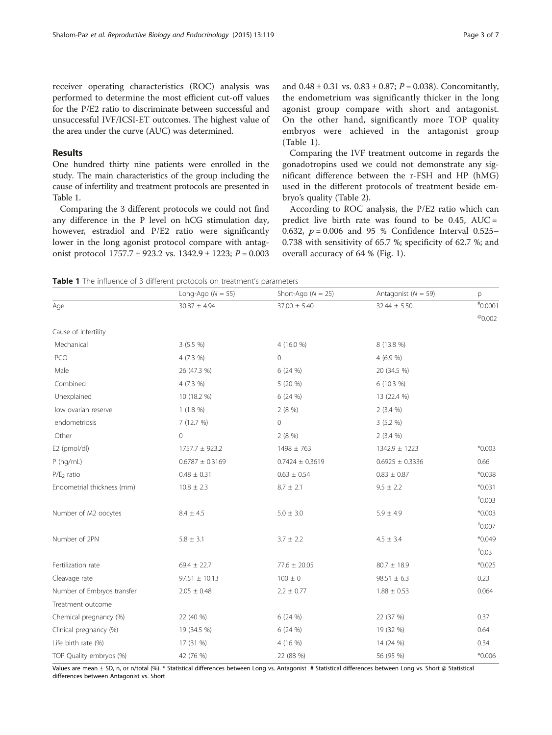receiver operating characteristics (ROC) analysis was performed to determine the most efficient cut-off values for the P/E2 ratio to discriminate between successful and unsuccessful IVF/ICSI-ET outcomes. The highest value of the area under the curve (AUC) was determined.

## Results

One hundred thirty nine patients were enrolled in the study. The main characteristics of the group including the cause of infertility and treatment protocols are presented in Table 1.

Comparing the 3 different protocols we could not find any difference in the P level on hCG stimulation day, however, estradiol and P/E2 ratio were significantly lower in the long agonist protocol compare with antagonist protocol  $1757.7 \pm 923.2$  vs.  $1342.9 \pm 1223$ ;  $P = 0.003$ 

and  $0.48 \pm 0.31$  vs.  $0.83 \pm 0.87$ ;  $P = 0.038$ ). Concomitantly, the endometrium was significantly thicker in the long agonist group compare with short and antagonist. On the other hand, significantly more TOP quality embryos were achieved in the antagonist group (Table 1).

Comparing the IVF treatment outcome in regards the gonadotropins used we could not demonstrate any significant difference between the r-FSH and HP (hMG) used in the different protocols of treatment beside embryo's quality (Table [2\)](#page-3-0).

According to ROC analysis, the P/E2 ratio which can predict live birth rate was found to be  $0.45$ ,  $AUC =$ 0.632,  $p = 0.006$  and 95 % Confidence Interval 0.525– 0.738 with sensitivity of 65.7 %; specificity of 62.7 %; and overall accuracy of 64 % (Fig. [1](#page-3-0)).

Table 1 The influence of 3 different protocols on treatment's parameters

|                            | Long-Ago ( $N = 55$ ) | Short-Ago $(N = 25)$ | Antagonist ( $N = 59$ ) | p                |
|----------------------------|-----------------------|----------------------|-------------------------|------------------|
| Age                        | $30.87 \pm 4.94$      | $37.00 \pm 5.40$     | $32.44 \pm 5.50$        | $*0.0001$        |
|                            |                       |                      |                         | $^{\circ}$ 0.002 |
| Cause of Infertility       |                       |                      |                         |                  |
| Mechanical                 | $3(5.5\%)$            | 4 (16.0 %)           | 8 (13.8 %)              |                  |
| PCO                        | 4 (7.3 %)             | 0                    | 4 (6.9 %)               |                  |
| Male                       | 26 (47.3 %)           | 6 (24 %)             | 20 (34.5 %)             |                  |
| Combined                   | $4(7.3\%)$            | 5 (20 %)             | $6(10.3\%)$             |                  |
| Unexplained                | 10 (18.2 %)           | 6(24%)               | 13 (22.4 %)             |                  |
| low ovarian reserve        | $1(1.8\%)$            | 2(8%)                | $2(3.4\%)$              |                  |
| endometriosis              | 7(12.7%)              | 0                    | 3(5.2%                  |                  |
| Other                      | $\overline{0}$        | 2(8%)                | $2(3.4\%)$              |                  |
| E2 (pmol/dl)               | $1757.7 \pm 923.2$    | $1498 \pm 763$       | $1342.9 \pm 1223$       | $*0.003$         |
| $P$ (ng/mL)                | $0.6787 \pm 0.3169$   | $0.7424 \pm 0.3619$  | $0.6925 \pm 0.3336$     | 0.66             |
| $P/E2$ ratio               | $0.48 \pm 0.31$       | $0.63 \pm 0.54$      | $0.83 \pm 0.87$         | $*0.038$         |
| Endometrial thickness (mm) | $10.8 \pm 2.3$        | $8.7 \pm 2.1$        | $9.5 \pm 2.2$           | $*0.031$         |
|                            |                       |                      |                         | $*0.003$         |
| Number of M2 oocytes       | $8.4 \pm 4.5$         | $5.0 \pm 3.0$        | $5.9 \pm 4.9$           | $*0.003$         |
|                            |                       |                      |                         | $*0.007$         |
| Number of 2PN              | $5.8 \pm 3.1$         | $3.7 \pm 2.2$        | $4.5 \pm 3.4$           | $*0.049$         |
|                            |                       |                      |                         | $*0.03$          |
| Fertilization rate         | $69.4 \pm 22.7$       | $77.6 \pm 20.05$     | $80.7 \pm 18.9$         | $*0.025$         |
| Cleavage rate              | $97.51 \pm 10.13$     | $100 \pm 0$          | $98.51 \pm 6.3$         | 0.23             |
| Number of Embryos transfer | $2.05 \pm 0.48$       | $2.2 \pm 0.77$       | $1.88 \pm 0.53$         | 0.064            |
| Treatment outcome          |                       |                      |                         |                  |
| Chemical pregnancy (%)     | 22 (40 %)             | 6(24%)               | 22 (37 %)               | 0.37             |
| Clinical pregnancy (%)     | 19 (34.5 %)           | 6 (24 %)             | 19 (32 %)               | 0.64             |
| Life birth rate (%)        | 17 (31 %)             | 4 (16 %)             | 14 (24 %)               | 0.34             |
| TOP Quality embryos (%)    | 42 (76 %)             | 22 (88 %)            | 56 (95 %)               | $*0.006$         |

Values are mean ± SD, n, or n/total (%). \* Statistical differences between Long vs. Antagonist # Statistical differences between Long vs. Short @ Statistical differences between Antagonist vs. Short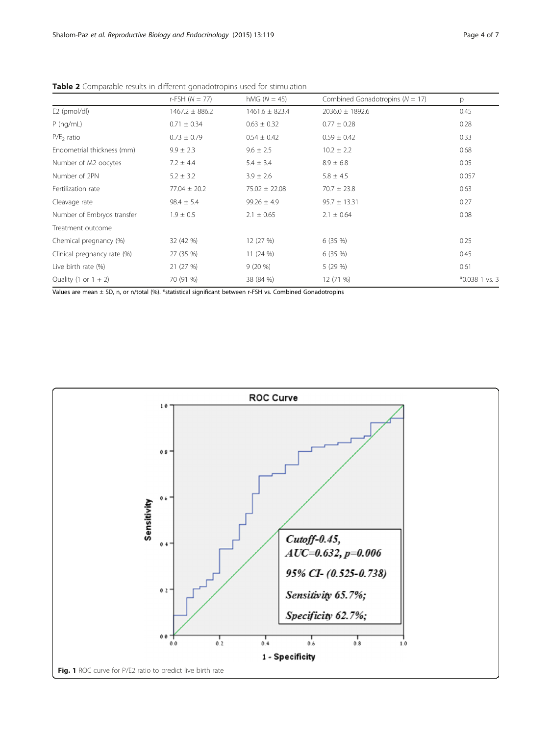|                             | $r$ -FSH ( $N = 77$ ) | hMG $(N = 45)$     | Combined Gonadotropins ( $N = 17$ ) | p                |
|-----------------------------|-----------------------|--------------------|-------------------------------------|------------------|
| E2 (pmol/dl)                | $1467.2 \pm 886.2$    | $1461.6 \pm 823.4$ | $2036.0 \pm 1892.6$                 | 0.45             |
| $P$ (ng/mL)                 | $0.71 \pm 0.34$       | $0.63 \pm 0.32$    | $0.77 \pm 0.28$                     | 0.28             |
| $P/E2$ ratio                | $0.73 \pm 0.79$       | $0.54 \pm 0.42$    | $0.59 \pm 0.42$                     | 0.33             |
| Endometrial thickness (mm)  | $9.9 \pm 2.3$         | $9.6 \pm 2.5$      | $10.2 \pm 2.2$                      | 0.68             |
| Number of M2 oocytes        | $7.2 \pm 4.4$         | $5.4 \pm 3.4$      | $8.9 \pm 6.8$                       | 0.05             |
| Number of 2PN               | $5.2 \pm 3.2$         | $3.9 \pm 2.6$      | $5.8 \pm 4.5$                       | 0.057            |
| Fertilization rate          | $77.04 \pm 20.2$      | $75.02 \pm 22.08$  | $70.7 \pm 23.8$                     | 0.63             |
| Cleavage rate               | $98.4 \pm 5.4$        | $99.26 \pm 4.9$    | $95.7 \pm 13.31$                    | 0.27             |
| Number of Embryos transfer  | $1.9 \pm 0.5$         | $2.1 \pm 0.65$     | $2.1 \pm 0.64$                      | 0.08             |
| Treatment outcome           |                       |                    |                                     |                  |
| Chemical pregnancy (%)      | 32 (42 %)             | 12 (27 %)          | 6(35%)                              | 0.25             |
| Clinical pregnancy rate (%) | 27 (35 %)             | 11(24%)            | 6(35%)                              | 0.45             |
| Live birth rate (%)         | 21 (27 %)             | $9(20\%)$          | 5(29%)                              | 0.61             |
| Quality (1 or $1 + 2$ )     | 70 (91 %)             | 38 (84 %)          | 12 (71 %)                           | $*0.038$ 1 vs. 3 |

<span id="page-3-0"></span>Table 2 Comparable results in different gonadotropins used for stimulation

Values are mean ± SD, n, or n/total (%). \*statistical significant between r-FSH vs. Combined Gonadotropins

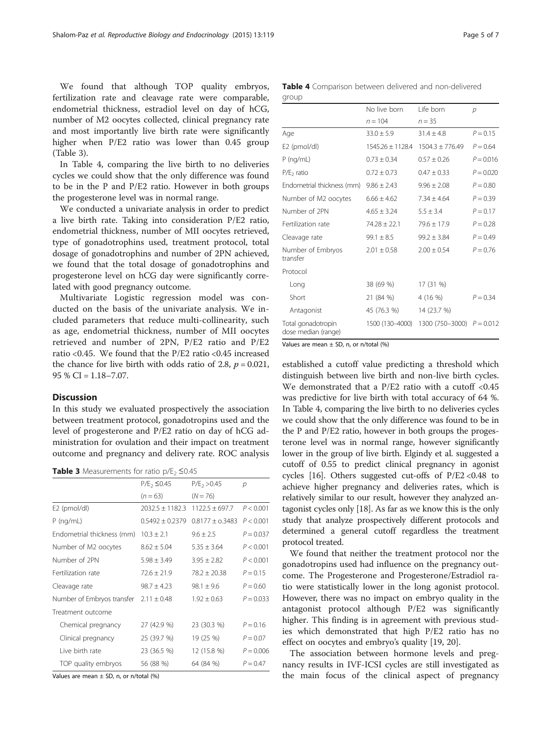We found that although TOP quality embryos, fertilization rate and cleavage rate were comparable, endometrial thickness, estradiol level on day of hCG, number of M2 oocytes collected, clinical pregnancy rate and most importantly live birth rate were significantly higher when P/E2 ratio was lower than 0.45 group (Table 3).

In Table 4, comparing the live birth to no deliveries cycles we could show that the only difference was found to be in the P and P/E2 ratio. However in both groups the progesterone level was in normal range.

We conducted a univariate analysis in order to predict a live birth rate. Taking into consideration P/E2 ratio, endometrial thickness, number of MII oocytes retrieved, type of gonadotrophins used, treatment protocol, total dosage of gonadotrophins and number of 2PN achieved, we found that the total dosage of gonadotrophins and progesterone level on hCG day were significantly correlated with good pregnancy outcome.

Multivariate Logistic regression model was conducted on the basis of the univariate analysis. We included parameters that reduce multi-collinearity, such as age, endometrial thickness, number of MII oocytes retrieved and number of 2PN, P/E2 ratio and P/E2 ratio <0.45. We found that the P/E2 ratio <0.45 increased the chance for live birth with odds ratio of 2.8,  $p = 0.021$ ,  $95 \% CI = 1.18 - 7.07.$ 

## **Discussion**

In this study we evaluated prospectively the association between treatment protocol, gonadotropins used and the level of progesterone and P/E2 ratio on day of hCG administration for ovulation and their impact on treatment outcome and pregnancy and delivery rate. ROC analysis

Table 3 Measurements for ratio  $p/E_2 \leq 0.45$ 

|                            | $P/E_2 \le 0.45$    | $P/E_2 > 0.45$      | р           |
|----------------------------|---------------------|---------------------|-------------|
|                            | $(n=63)$            | $(N = 76)$          |             |
| E2 (pmol/dl)               | $2032.5 + 1182.3$   | $1122.5 + 697.7$    | P < 0.001   |
| $P$ (ng/mL)                | $0.5492 \pm 0.2379$ | $0.8177 \pm 0.3483$ | P < 0.001   |
| Endometrial thickness (mm) | $103 + 21$          | $9.6 + 2.5$         | $P = 0.037$ |
| Number of M2 oocytes       | $8.62 \pm 5.04$     | $5.35 \pm 3.64$     | P < 0.001   |
| Number of 2PN              | $5.98 \pm 3.49$     | $3.95 \pm 2.82$     | P < 0.001   |
| Fertilization rate         | $72.6 \pm 21.9$     | $78.2 + 20.38$      | $P = 0.15$  |
| Cleavage rate              | $98.7 + 4.23$       | $98.1 + 9.6$        | $P = 0.60$  |
| Number of Embryos transfer | $2.11 \pm 0.48$     | $1.92 + 0.63$       | $P = 0.033$ |
| Treatment outcome          |                     |                     |             |
| Chemical pregnancy         | 27 (42.9 %)         | 23 (30.3 %)         | $P = 0.16$  |
| Clinical pregnancy         | 25 (39.7 %)         | 19 (25 %)           | $P = 0.07$  |
| Live birth rate            | 23 (36.5 %)         | 12 (15.8 %)         | $P = 0.006$ |
| TOP quality embryos        | 56 (88 %)           | 64 (84 %)           | $P = 0.47$  |

Values are mean  $\pm$  SD, n, or n/total (%)

Table 4 Comparison between delivered and non-delivered group

|                                           | No live born     | Life born                   | $\mathcal{D}$ |
|-------------------------------------------|------------------|-----------------------------|---------------|
|                                           | $n = 104$        | $n = 35$                    |               |
| Age                                       | $33.0 \pm 5.9$   | $31.4 \pm 4.8$              | $P = 0.15$    |
| E2 (pmol/dl)                              | 1545.26 + 1128.4 | $1504.3 + 776.49$           | $P = 0.64$    |
| $P$ (ng/mL)                               | $0.73 \pm 0.34$  | $0.57 + 0.26$               | $P = 0.016$   |
| $P/E2$ ratio                              | $0.72 + 0.73$    | $0.47 + 0.33$               | $P = 0.020$   |
| Endometrial thickness (mm)                | $9.86 \pm 2.43$  | $9.96 \pm 2.08$             | $P = 0.80$    |
| Number of M2 oocytes                      | $6.66 + 4.62$    | $7.34 + 4.64$               | $P = 0.39$    |
| Number of 2PN                             | $4.65 \pm 3.24$  | $5.5 \pm 3.4$               | $P = 0.17$    |
| Fertilization rate                        | $74.28 \pm 22.1$ | $79.6 \pm 17.9$             | $P = 0.28$    |
| Cleavage rate                             | $99.1 \pm 8.5$   | $99.2 \pm 3.84$             | $P = 0.49$    |
| Number of Embryos<br>transfer             | $2.01 \pm 0.58$  | $2.00 \pm 0.54$             | $P = 0.76$    |
| Protocol                                  |                  |                             |               |
| Long                                      | 38 (69 %)        | 17 (31 %)                   |               |
| Short                                     | 21 (84 %)        | 4 (16 %)                    | $P = 0.34$    |
| Antagonist                                | 45 (76.3 %)      | 14 (23.7 %)                 |               |
| Total gonadotropin<br>dose median (range) | 1500 (130-4000)  | 1300 (750-3000) $P = 0.012$ |               |

Values are mean  $\pm$  SD, n, or n/total (%)

established a cutoff value predicting a threshold which distinguish between live birth and non-live birth cycles. We demonstrated that a P/E2 ratio with a cutoff <0.45 was predictive for live birth with total accuracy of 64 %. In Table 4, comparing the live birth to no deliveries cycles we could show that the only difference was found to be in the P and P/E2 ratio, however in both groups the progesterone level was in normal range, however significantly lower in the group of live birth. Elgindy et al. suggested a cutoff of 0.55 to predict clinical pregnancy in agonist cycles [[16](#page-5-0)]. Others suggested cut-offs of  $P/E2 < 0.48$  to achieve higher pregnancy and deliveries rates, which is relatively similar to our result, however they analyzed antagonist cycles only [[18](#page-5-0)]. As far as we know this is the only study that analyze prospectively different protocols and determined a general cutoff regardless the treatment protocol treated.

We found that neither the treatment protocol nor the gonadotropins used had influence on the pregnancy outcome. The Progesterone and Progesterone/Estradiol ratio were statistically lower in the long agonist protocol. However, there was no impact on embryo quality in the antagonist protocol although P/E2 was significantly higher. This finding is in agreement with previous studies which demonstrated that high P/E2 ratio has no effect on oocytes and embryo's quality [\[19](#page-6-0), [20\]](#page-6-0).

The association between hormone levels and pregnancy results in IVF-ICSI cycles are still investigated as the main focus of the clinical aspect of pregnancy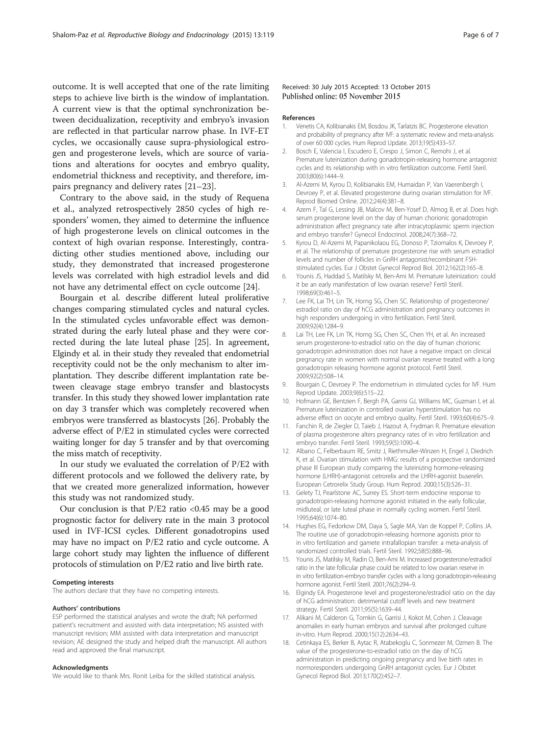<span id="page-5-0"></span>outcome. It is well accepted that one of the rate limiting steps to achieve live birth is the window of implantation. A current view is that the optimal synchronization between decidualization, receptivity and embryo's invasion are reflected in that particular narrow phase. In IVF-ET cycles, we occasionally cause supra-physiological estrogen and progesterone levels, which are source of variations and alterations for oocytes and embryo quality, endometrial thickness and receptivity, and therefore, impairs pregnancy and delivery rates [\[21](#page-6-0)–[23\]](#page-6-0).

Contrary to the above said, in the study of Requena et al., analyzed retrospectively 2850 cycles of high responders' women, they aimed to determine the influence of high progesterone levels on clinical outcomes in the context of high ovarian response. Interestingly, contradicting other studies mentioned above, including our study, they demonstrated that increased progesterone levels was correlated with high estradiol levels and did not have any detrimental effect on cycle outcome [\[24](#page-6-0)].

Bourgain et al. describe different luteal proliferative changes comparing stimulated cycles and natural cycles. In the stimulated cycles unfavorable effect was demonstrated during the early luteal phase and they were corrected during the late luteal phase [[25\]](#page-6-0). In agreement, Elgindy et al. in their study they revealed that endometrial receptivity could not be the only mechanism to alter implantation. They describe different implantation rate between cleavage stage embryo transfer and blastocysts transfer. In this study they showed lower implantation rate on day 3 transfer which was completely recovered when embryos were transferred as blastocysts [\[26\]](#page-6-0). Probably the adverse effect of P/E2 in stimulated cycles were corrected waiting longer for day 5 transfer and by that overcoming the miss match of receptivity.

In our study we evaluated the correlation of P/E2 with different protocols and we followed the delivery rate, by that we created more generalized information, however this study was not randomized study.

Our conclusion is that  $P/E2$  ratio <0.45 may be a good prognostic factor for delivery rate in the main 3 protocol used in IVF-ICSI cycles. Different gonadotropins used may have no impact on P/E2 ratio and cycle outcome. A large cohort study may lighten the influence of different protocols of stimulation on P/E2 ratio and live birth rate.

#### Competing interests

The authors declare that they have no competing interests.

#### Authors' contributions

ESP performed the statistical analyses and wrote the draft; NA performed patient's recruitment and assisted with data interpretation; NS assisted with manuscript revision; MM assisted with data interpretation and manuscript revision; AE designed the study and helped draft the manuscript. All authors read and approved the final manuscript.

#### Acknowledgments

We would like to thank Mrs. Ronit Leiba for the skilled statistical analysis.

#### Received: 30 July 2015 Accepted: 13 October 2015 Published online: 05 November 2015

#### References

- 1. Venetis CA, Kolibianakis EM, Bosdou JK, Tarlatzis BC. Progesterone elevation and probability of pregnancy after IVF: a systematic review and meta-analysis of over 60 000 cycles. Hum Reprod Update. 2013;19(5):433–57.
- 2. Bosch E, Valencia I, Escudero E, Crespo J, Simon C, Remohi J, et al. Premature luteinization during gonadotropin-releasing hormone antagonist cycles and its relationship with in vitro fertilization outcome. Fertil Steril. 2003;80(6):1444–9.
- 3. Al-Azemi M, Kyrou D, Kolibianakis EM, Humaidan P, Van Vaerenbergh I, Devroey P, et al. Elevated progesterone during ovarian stimulation for IVF. Reprod Biomed Online. 2012;24(4):381–8.
- Azem F, Tal G, Lessing JB, Malcov M, Ben-Yosef D, Almog B, et al. Does high serum progesterone level on the day of human chorionic gonadotropin administration affect pregnancy rate after intracytoplasmic sperm injection and embryo transfer? Gynecol Endocrinol. 2008;24(7):368–72.
- 5. Kyrou D, Al-Azemi M, Papanikolaou EG, Donoso P, Tziomalos K, Devroey P, et al. The relationship of premature progesterone rise with serum estradiol levels and number of follicles in GnRH antagonist/recombinant FSHstimulated cycles. Eur J Obstet Gynecol Reprod Biol. 2012;162(2):165–8.
- 6. Younis JS, Haddad S, Matilsky M, Ben-Ami M. Premature luteinization: could it be an early manifestation of low ovarian reserve? Fertil Steril. 1998;69(3):461–5.
- 7. Lee FK, Lai TH, Lin TK, Horng SG, Chen SC. Relationship of progesterone/ estradiol ratio on day of hCG administration and pregnancy outcomes in high responders undergoing in vitro fertilization. Fertil Steril. 2009;92(4):1284–9.
- 8. Lai TH, Lee FK, Lin TK, Horng SG, Chen SC, Chen YH, et al. An increased serum progesterone-to-estradiol ratio on the day of human chorionic gonadotropin administration does not have a negative impact on clinical pregnancy rate in women with normal ovarian reserve treated with a long gonadotropin releasing hormone agonist protocol. Fertil Steril. 2009;92(2):508–14.
- 9. Bourgain C, Devroey P. The endometrium in stimulated cycles for IVF. Hum Reprod Update. 2003;9(6):515–22.
- 10. Hofmann GE, Bentzien F, Bergh PA, Garrisi GJ, Williams MC, Guzman I, et al. Premature luteinization in controlled ovarian hyperstimulation has no adverse effect on oocyte and embryo quality. Fertil Steril. 1993;60(4):675–9.
- 11. Fanchin R, de Ziegler D, Taieb J, Hazout A, Frydman R. Premature elevation of plasma progesterone alters pregnancy rates of in vitro fertilization and embryo transfer. Fertil Steril. 1993;59(5):1090–4.
- 12. Albano C, Felberbaum RE, Smitz J, Riethmuller-Winzen H, Engel J, Diedrich K, et al. Ovarian stimulation with HMG: results of a prospective randomized phase III European study comparing the luteinizing hormone-releasing hormone (LHRH)-antagonist cetrorelix and the LHRH-agonist buserelin. European Cetrorelix Study Group. Hum Reprod. 2000;15(3):526–31.
- 13. Gelety TJ, Pearlstone AC, Surrey ES. Short-term endocrine response to gonadotropin-releasing hormone agonist initiated in the early follicular, midluteal, or late luteal phase in normally cycling women. Fertil Steril. 1995;64(6):1074–80.
- 14. Hughes EG, Fedorkow DM, Daya S, Sagle MA, Van de Koppel P, Collins JA. The routine use of gonadotropin-releasing hormone agonists prior to in vitro fertilization and gamete intrafallopian transfer: a meta-analysis of randomized controlled trials. Fertil Steril. 1992;58(5):888–96.
- 15. Younis JS, Matilsky M, Radin O, Ben-Ami M. Increased progesterone/estradiol ratio in the late follicular phase could be related to low ovarian reserve in in vitro fertilization-embryo transfer cycles with a long gonadotropin-releasing hormone agonist. Fertil Steril. 2001;76(2):294–9.
- 16. Elgindy EA. Progesterone level and progesterone/estradiol ratio on the day of hCG administration: detrimental cutoff levels and new treatment strategy. Fertil Steril. 2011;95(5):1639–44.
- 17. Alikani M, Calderon G, Tomkin G, Garrisi J, Kokot M, Cohen J. Cleavage anomalies in early human embryos and survival after prolonged culture in-vitro. Hum Reprod. 2000;15(12):2634–43.
- 18. Cetinkaya ES, Berker B, Aytac R, Atabekoglu C, Sonmezer M, Ozmen B. The value of the progesterone-to-estradiol ratio on the day of hCG administration in predicting ongoing pregnancy and live birth rates in normoresponders undergoing GnRH antagonist cycles. Eur J Obstet Gynecol Reprod Biol. 2013;170(2):452–7.